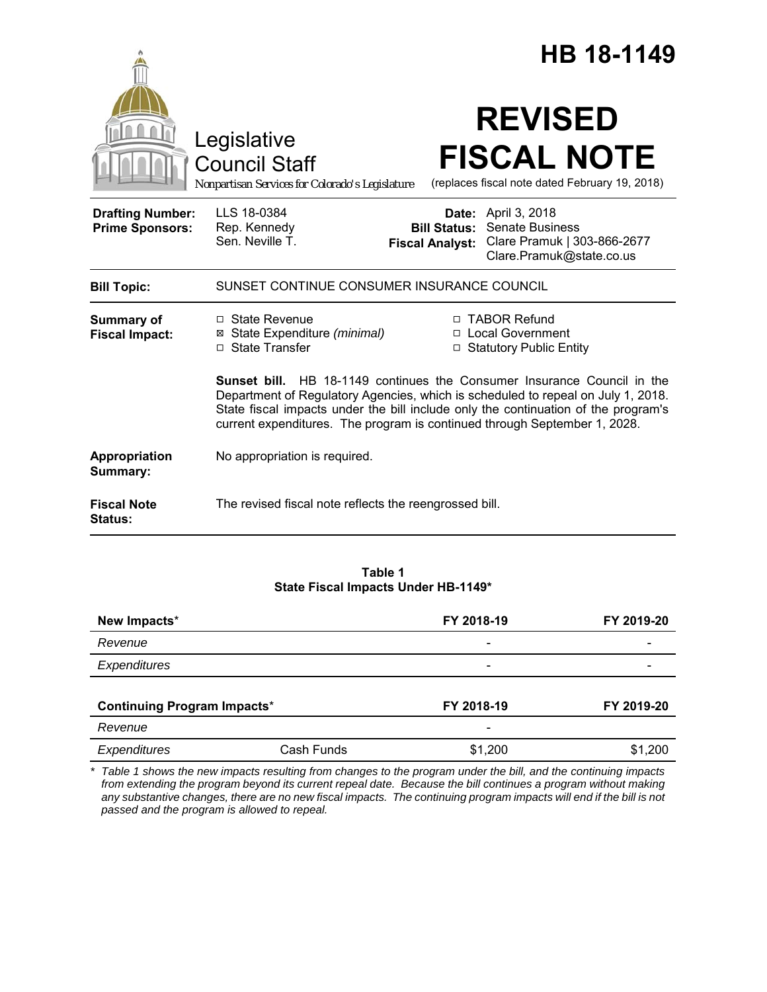|                                                   |                                                                                                                                                                                                                                                                                                                                       |                                               | HB 18-1149                                                                                                      |  |
|---------------------------------------------------|---------------------------------------------------------------------------------------------------------------------------------------------------------------------------------------------------------------------------------------------------------------------------------------------------------------------------------------|-----------------------------------------------|-----------------------------------------------------------------------------------------------------------------|--|
|                                                   | Legislative<br><b>Council Staff</b><br>Nonpartisan Services for Colorado's Legislature                                                                                                                                                                                                                                                |                                               | <b>REVISED</b><br><b>FISCAL NOTE</b><br>(replaces fiscal note dated February 19, 2018)                          |  |
| <b>Drafting Number:</b><br><b>Prime Sponsors:</b> | LLS 18-0384<br>Rep. Kennedy<br>Sen. Neville T.                                                                                                                                                                                                                                                                                        | <b>Bill Status:</b><br><b>Fiscal Analyst:</b> | <b>Date:</b> April 3, 2018<br><b>Senate Business</b><br>Clare Pramuk   303-866-2677<br>Clare.Pramuk@state.co.us |  |
| <b>Bill Topic:</b>                                | SUNSET CONTINUE CONSUMER INSURANCE COUNCIL                                                                                                                                                                                                                                                                                            |                                               |                                                                                                                 |  |
| <b>Summary of</b><br><b>Fiscal Impact:</b>        | □ State Revenue<br>⊠ State Expenditure (minimal)<br>□ State Transfer                                                                                                                                                                                                                                                                  |                                               | □ TABOR Refund<br>□ Local Government<br>□ Statutory Public Entity                                               |  |
|                                                   | <b>Sunset bill.</b> HB 18-1149 continues the Consumer Insurance Council in the<br>Department of Regulatory Agencies, which is scheduled to repeal on July 1, 2018.<br>State fiscal impacts under the bill include only the continuation of the program's<br>current expenditures. The program is continued through September 1, 2028. |                                               |                                                                                                                 |  |
| Appropriation<br>Summary:                         | No appropriation is required.                                                                                                                                                                                                                                                                                                         |                                               |                                                                                                                 |  |
| <b>Fiscal Note</b><br>Status:                     | The revised fiscal note reflects the reengrossed bill.                                                                                                                                                                                                                                                                                |                                               |                                                                                                                 |  |

## **Table 1 State Fiscal Impacts Under HB-1149\***

| New Impacts*<br>Revenue            |            | FY 2018-19               | FY 2019-20 |
|------------------------------------|------------|--------------------------|------------|
|                                    |            | $\overline{\phantom{0}}$ |            |
| Expenditures                       |            |                          |            |
|                                    |            |                          |            |
| <b>Continuing Program Impacts*</b> |            | FY 2018-19               | FY 2019-20 |
| Revenue                            |            | -                        |            |
| Expenditures                       | Cash Funds | \$1,200                  | \$1,200    |

*\* Table 1 shows the new impacts resulting from changes to the program under the bill, and the continuing impacts from extending the program beyond its current repeal date. Because the bill continues a program without making any substantive changes, there are no new fiscal impacts. The continuing program impacts will end if the bill is not passed and the program is allowed to repeal.*